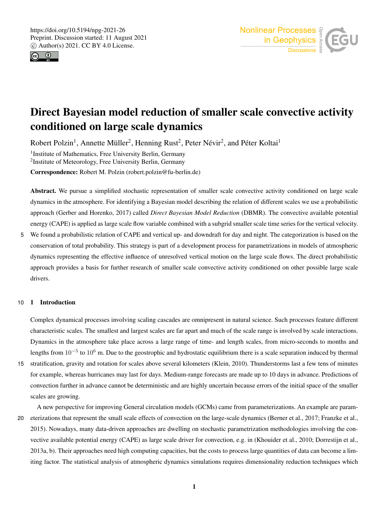



# Direct Bayesian model reduction of smaller scale convective activity conditioned on large scale dynamics

Robert Polzin<sup>1</sup>, Annette Müller<sup>2</sup>, Henning Rust<sup>2</sup>, Peter Névir<sup>2</sup>, and Péter Koltai<sup>1</sup> <sup>1</sup> Institute of Mathematics, Free University Berlin, Germany <sup>2</sup>Institute of Meteorology, Free University Berlin, Germany

Correspondence: Robert M. Polzin (robert.polzin@fu-berlin.de)

Abstract. We pursue a simplified stochastic representation of smaller scale convective activity conditioned on large scale dynamics in the atmosphere. For identifying a Bayesian model describing the relation of different scales we use a probabilistic approach (Gerber and Horenko, 2017) called *Direct Bayesian Model Reduction* (DBMR). The convective available potential energy (CAPE) is applied as large scale flow variable combined with a subgrid smaller scale time series for the vertical velocity.

5 We found a probabilistic relation of CAPE and vertical up- and downdraft for day and night. The categorization is based on the conservation of total probability. This strategy is part of a development process for parametrizations in models of atmospheric dynamics representing the effective influence of unresolved vertical motion on the large scale flows. The direct probabilistic approach provides a basis for further research of smaller scale convective activity conditioned on other possible large scale drivers.

# 10 1 Introduction

Complex dynamical processes involving scaling cascades are omnipresent in natural science. Such processes feature different characteristic scales. The smallest and largest scales are far apart and much of the scale range is involved by scale interactions. Dynamics in the atmosphere take place across a large range of time- and length scales, from micro-seconds to months and lengths from  $10^{-5}$  to  $10^6$  m. Due to the geostrophic and hydrostatic equilibrium there is a scale separation induced by thermal

15 stratification, gravity and rotation for scales above several kilometers (Klein, 2010). Thunderstorms last a few tens of minutes for example, whereas hurricanes may last for days. Medium-range forecasts are made up to 10 days in advance. Predictions of convection further in advance cannot be deterministic and are highly uncertain because errors of the initial space of the smaller scales are growing.

A new perspective for improving General circulation models (GCMs) came from parameterizations. An example are param-20 eterizations that represent the small scale effects of convection on the large-scale dynamics (Berner et al., 2017; Franzke et al., 2015). Nowadays, many data-driven approaches are dwelling on stochastic parametrization methodologies involving the convective available potential energy (CAPE) as large scale driver for convection, e.g. in (Khouider et al., 2010; Dorrestijn et al., 2013a, b). Their approaches need high computing capacities, but the costs to process large quantities of data can become a limiting factor. The statistical analysis of atmospheric dynamics simulations requires dimensionality reduction techniques which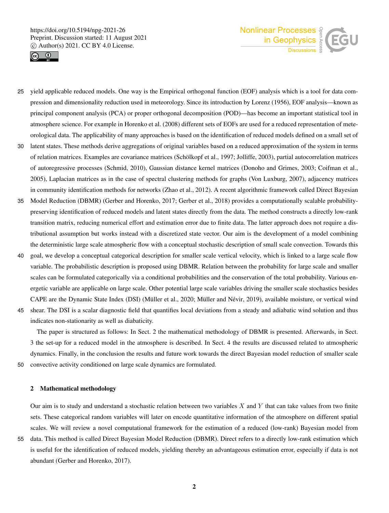



- 25 yield applicable reduced models. One way is the Empirical orthogonal function (EOF) analysis which is a tool for data compression and dimensionality reduction used in meteorology. Since its introduction by Lorenz (1956), EOF analysis—known as principal component analysis (PCA) or proper orthogonal decomposition (POD)—has become an important statistical tool in atmosphere science. For example in Horenko et al. (2008) different sets of EOFs are used for a reduced representation of meteorological data. The applicability of many approaches is based on the identification of reduced models defined on a small set of
- 30 latent states. These methods derive aggregations of original variables based on a reduced approximation of the system in terms of relation matrices. Examples are covariance matrices (Schölkopf et al., 1997; Jolliffe, 2003), partial autocorrelation matrices of autoregressive processes (Schmid, 2010), Gaussian distance kernel matrices (Donoho and Grimes, 2003; Coifman et al., 2005), Laplacian matrices as in the case of spectral clustering methods for graphs (Von Luxburg, 2007), adjacency matrices in community identification methods for networks (Zhao et al., 2012). A recent algorithmic framework called Direct Bayesian
- 35 Model Reduction (DBMR) (Gerber and Horenko, 2017; Gerber et al., 2018) provides a computationally scalable probabilitypreserving identification of reduced models and latent states directly from the data. The method constructs a directly low-rank transition matrix, reducing numerical effort and estimation error due to finite data. The latter approach does not require a distributional assumption but works instead with a discretized state vector. Our aim is the development of a model combining the deterministic large scale atmospheric flow with a conceptual stochastic description of small scale convection. Towards this
- 40 goal, we develop a conceptual categorical description for smaller scale vertical velocity, which is linked to a large scale flow variable. The probabilistic description is proposed using DBMR. Relation between the probability for large scale and smaller scales can be formulated categorically via a conditional probabilities and the conservation of the total probability. Various energetic variable are applicable on large scale. Other potential large scale variables driving the smaller scale stochastics besides CAPE are the Dynamic State Index (DSI) (Müller et al., 2020; Müller and Névir, 2019), available moisture, or vertical wind
- 45 shear. The DSI is a scalar diagnostic field that quantifies local deviations from a steady and adiabatic wind solution and thus indicates non-stationarity as well as diabaticity.

The paper is structured as follows: In Sect. 2 the mathematical methodology of DBMR is presented. Afterwards, in Sect. 3 the set-up for a reduced model in the atmosphere is described. In Sect. 4 the results are discussed related to atmospheric dynamics. Finally, in the conclusion the results and future work towards the direct Bayesian model reduction of smaller scale 50 convective activity conditioned on large scale dynamics are formulated.

### 2 Mathematical methodology

Our aim is to study and understand a stochastic relation between two variables  $X$  and  $Y$  that can take values from two finite sets. These categorical random variables will later on encode quantitative information of the atmosphere on different spatial scales. We will review a novel computational framework for the estimation of a reduced (low-rank) Bayesian model from

55 data. This method is called Direct Bayesian Model Reduction (DBMR). Direct refers to a directly low-rank estimation which is useful for the identification of reduced models, yielding thereby an advantageous estimation error, especially if data is not abundant (Gerber and Horenko, 2017).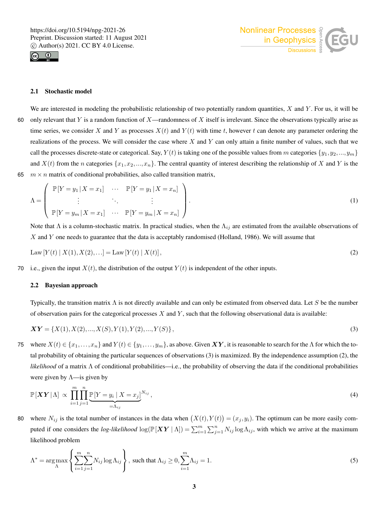



## 2.1 Stochastic model

We are interested in modeling the probabilistic relationship of two potentially random quantities,  $X$  and  $Y$ . For us, it will be 60 only relevant that Y is a random function of X—randomness of X itself is irrelevant. Since the observations typically arise as time series, we consider X and Y as processes  $X(t)$  and  $Y(t)$  with time t, however t can denote any parameter ordering the realizations of the process. We will consider the case where  $X$  and  $Y$  can only attain a finite number of values, such that we call the processes discrete-state or categorical. Say,  $Y(t)$  is taking one of the possible values from m categories  $\{y_1, y_2, ..., y_m\}$ and  $X(t)$  from the n categories  $\{x_1, x_2, ..., x_n\}$ . The central quantity of interest describing the relationship of X and Y is the 65  $m \times n$  matrix of conditional probabilities, also called transition matrix,

$$
\Lambda = \begin{pmatrix} \mathbb{P}[Y = y_1 | X = x_1] & \cdots & \mathbb{P}[Y = y_1 | X = x_n] \\ \vdots & \ddots & \vdots \\ \mathbb{P}[Y = y_m | X = x_1] & \cdots & \mathbb{P}[Y = y_m | X = x_n] \end{pmatrix} .
$$
 (1)

Note that  $\Lambda$  is a column-stochastic matrix. In practical studies, when the  $\Lambda_{ij}$  are estimated from the available observations of X and Y one needs to guarantee that the data is acceptably randomised (Holland, 1986). We will assume that

Law 
$$
[Y(t) | X(1), X(2), \ldots] = \text{Law}[Y(t) | X(t)],
$$
 (2)

70 i.e., given the input  $X(t)$ , the distribution of the output  $Y(t)$  is independent of the other inputs.

#### 2.2 Bayesian approach

Typically, the transition matrix  $\Lambda$  is not directly available and can only be estimated from observed data. Let S be the number of observation pairs for the categorical processes  $X$  and  $Y$ , such that the following observational data is available:

$$
\boldsymbol{XY} = \{X(1), X(2), ..., X(S), Y(1), Y(2), ..., Y(S)\},\tag{3}
$$

75 where  $X(t) \in \{x_1,\ldots,x_n\}$  and  $Y(t) \in \{y_1,\ldots,y_m\}$ , as above. Given  $XY$ , it is reasonable to search for the  $\Lambda$  for which the total probability of obtaining the particular sequences of observations (3) is maximized. By the independence assumption (2), the *likelihood* of a matrix Λ of conditional probabilities—i.e., the probability of observing the data if the conditional probabilities were given by  $\Lambda$ —is given by

$$
\mathbb{P}[\boldsymbol{XY}|\Lambda] \propto \prod_{i=1}^{m} \prod_{j=1}^{n} \underbrace{\mathbb{P}[Y = y_i \mid X = x_j]}_{=\Lambda_{ij}}^{N_{ij}}, \tag{4}
$$

80 where  $N_{ij}$  is the total number of instances in the data when  $(X(t), Y(t)) = (x_j, y_i)$ . The optimum can be more easily computed if one considers the *log-likelihood*  $\log(\mathbb{P}[XY | \Lambda]) = \sum_{i=1}^{m} \sum_{j=1}^{n} N_{ij} \log \Lambda_{ij}$ , with which we arrive at the maximum likelihood problem

$$
\Lambda^* = \underset{\Lambda}{\arg \max} \left\{ \sum_{i=1}^m \sum_{j=1}^n N_{ij} \log \Lambda_{ij} \right\}, \text{ such that } \Lambda_{ij} \ge 0, \sum_{i=1}^m \Lambda_{ij} = 1. \tag{5}
$$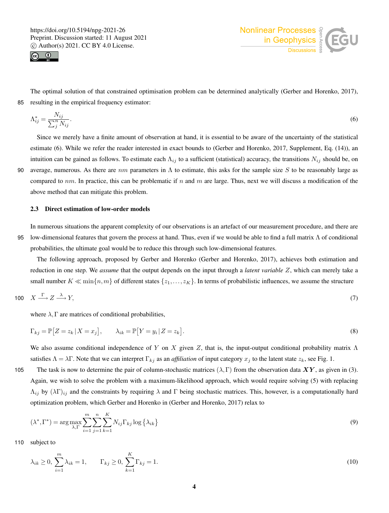



The optimal solution of that constrained optimisation problem can be determined analytically (Gerber and Horenko, 2017), 85 resulting in the empirical frequency estimator:

$$
\Lambda_{ij}^* = \frac{N_{ij}}{\sum_j^n N_{ij}}.\tag{6}
$$

Since we merely have a finite amount of observation at hand, it is essential to be aware of the uncertainty of the statistical estimate (6). While we refer the reader interested in exact bounds to (Gerber and Horenko, 2017, Supplement, Eq. (14)), an intuition can be gained as follows. To estimate each  $\Lambda_{ij}$  to a sufficient (statistical) accuracy, the transitions  $N_{ij}$  should be, on 90 average, numerous. As there are  $nm$  parameters in  $\Lambda$  to estimate, this asks for the sample size S to be reasonably large as compared to  $nm$ . In practice, this can be problematic if n and m are large. Thus, next we will discuss a modification of the above method that can mitigate this problem.

#### 2.3 Direct estimation of low-order models

In numerous situations the apparent complexity of our observations is an artefact of our measurement procedure, and there are 95 low-dimensional features that govern the process at hand. Thus, even if we would be able to find a full matrix Λ of conditional probabilities, the ultimate goal would be to reduce this through such low-dimensional features.

The following approach, proposed by Gerber and Horenko (Gerber and Horenko, 2017), achieves both estimation and reduction in one step. We *assume* that the output depends on the input through a *latent variable* Z, which can merely take a small number  $K \ll \min\{n,m\}$  of different states  $\{z_1,\ldots,z_K\}$ . In terms of probabilistic influences, we assume the structure

$$
100 \quad X \xrightarrow{\Gamma} Z \xrightarrow{\lambda} Y,
$$
 (7)

where  $\lambda$ , Γ are matrices of conditional probabilities,

$$
\Gamma_{kj} = \mathbb{P}\big[Z = z_k \,|\, X = x_j\big], \qquad \lambda_{ik} = \mathbb{P}\big[Y = y_i \,|\, Z = z_k\big].\tag{8}
$$

We also assume conditional independence of Y on X given Z, that is, the input-output conditional probability matrix  $\Lambda$ satisfies  $\Lambda = \lambda \Gamma$ . Note that we can interpret  $\Gamma_{kj}$  as an *affiliation* of input category  $x_j$  to the latent state  $z_k$ , see Fig. 1.

105 The task is now to determine the pair of column-stochastic matrices  $(\lambda, \Gamma)$  from the observation data  $XY$ , as given in (3). Again, we wish to solve the problem with a maximum-likelihood approach, which would require solving (5) with replacing  $\Lambda_{ij}$  by  $(\lambda \Gamma)_{ij}$  and the constraints by requiring  $\lambda$  and  $\Gamma$  being stochastic matrices. This, however, is a computationally hard optimization problem, which Gerber and Horenko in (Gerber and Horenko, 2017) relax to

$$
(\lambda^*, \Gamma^*) = \arg \max_{\lambda, \Gamma} \sum_{i=1}^m \sum_{j=1}^n \sum_{k=1}^K N_{ij} \Gamma_{kj} \log \left\{ \lambda_{ik} \right\} \tag{9}
$$

110 subject to

$$
\lambda_{ik} \ge 0, \sum_{i=1}^{m} \lambda_{ik} = 1, \qquad \Gamma_{kj} \ge 0, \sum_{k=1}^{K} \Gamma_{kj} = 1.
$$
\n(10)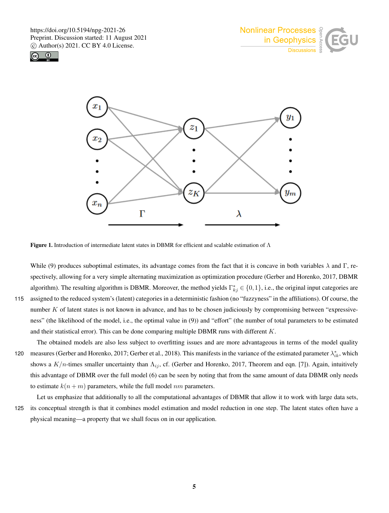





Figure 1. Introduction of intermediate latent states in DBMR for efficient and scalable estimation of  $\Lambda$ 

While (9) produces suboptimal estimates, its advantage comes from the fact that it is concave in both variables  $\lambda$  and  $\Gamma$ , respectively, allowing for a very simple alternating maximization as optimization procedure (Gerber and Horenko, 2017, DBMR algorithm). The resulting algorithm is DBMR. Moreover, the method yields  $\Gamma_{kj}^* \in \{0,1\}$ , i.e., the original input categories are 115 assigned to the reduced system's (latent) categories in a deterministic fashion (no "fuzzyness" in the affiliations). Of course, the number K of latent states is not known in advance, and has to be chosen judiciously by compromising between "expressiveness" (the likelihood of the model, i.e., the optimal value in (9)) and "effort" (the number of total parameters to be estimated and their statistical error). This can be done comparing multiple DBMR runs with different K.

The obtained models are also less subject to overfitting issues and are more advantageous in terms of the model quality 120 measures (Gerber and Horenko, 2017; Gerber et al., 2018). This manifests in the variance of the estimated parameter  $\lambda_{ik}^*$ , which shows a  $K/n$ -times smaller uncertainty than  $\Lambda_{ij}$ , cf. (Gerber and Horenko, 2017, Theorem and eqn. [7]). Again, intuitively this advantage of DBMR over the full model (6) can be seen by noting that from the same amount of data DBMR only needs to estimate  $k(n+m)$  parameters, while the full model nm parameters.

Let us emphasize that additionally to all the computational advantages of DBMR that allow it to work with large data sets, 125 its conceptual strength is that it combines model estimation and model reduction in one step. The latent states often have a physical meaning—a property that we shall focus on in our application.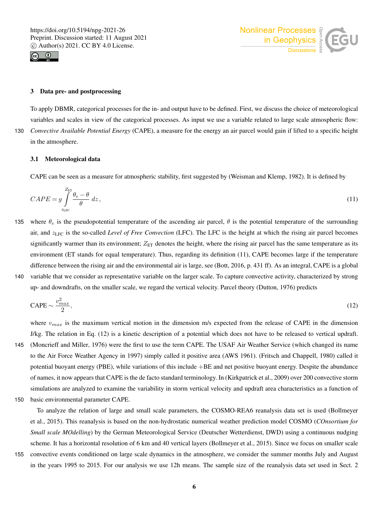



# 3 Data pre- and postprocessing

To apply DBMR, categorical processes for the in- and output have to be defined. First, we discuss the choice of meteorological variables and scales in view of the categorical processes. As input we use a variable related to large scale atmospheric flow: 130 *Convective Available Potential Energy* (CAPE), a measure for the energy an air parcel would gain if lifted to a specific height in the atmosphere.

## 3.1 Meteorological data

CAPE can be seen as a measure for atmospheric stability, first suggested by (Weisman and Klemp, 1982). It is defined by

$$
CAPE = g \int_{z_{\text{LFC}}}^{Z_{\text{ET}}} \frac{\theta_e - \theta}{\theta} \, dz,
$$
\n
$$
(11)
$$

- 135 where  $\theta_e$  is the pseudopotential temperature of the ascending air parcel,  $\theta$  is the potential temperature of the surrounding air, and  $z_{\text{LFC}}$  is the so-called *Level of Free Convection* (LFC). The LFC is the height at which the rising air parcel becomes significantly warmer than its environment;  $Z_{ET}$  denotes the height, where the rising air parcel has the same temperature as its environment (ET stands for equal temperature). Thus, regarding its definition (11), CAPE becomes large if the temperature difference between the rising air and the environmental air is large, see (Bott, 2016, p. 431 ff). As an integral, CAPE is a global 140 variable that we consider as representative variable on the larger scale. To capture convective activity, characterized by strong
- up- and downdrafts, on the smaller scale, we regard the vertical velocity. Parcel theory (Dutton, 1976) predicts

$$
\text{CAPE} \sim \frac{v_{max}^2}{2},\tag{12}
$$

where  $v_{max}$  is the maximum vertical motion in the dimension m/s expected from the release of CAPE in the dimension J/kg. The relation in Eq. (12) is a kinetic description of a potential which does not have to be released to vertical updraft. 145 (Moncrieff and Miller, 1976) were the first to use the term CAPE. The USAF Air Weather Service (which changed its name to the Air Force Weather Agency in 1997) simply called it positive area (AWS 1961). (Fritsch and Chappell, 1980) called it potential buoyant energy (PBE), while variations of this include  $+BE$  and net positive buoyant energy. Despite the abundance of names, it now appears that CAPE is the de facto standard terminology. In (Kirkpatrick et al., 2009) over 200 convective storm simulations are analyzed to examine the variability in storm vertical velocity and updraft area characteristics as a function of 150 basic environmental parameter CAPE.

To analyze the relation of large and small scale parameters, the COSMO-REA6 reanalysis data set is used (Bollmeyer et al., 2015). This reanalysis is based on the non-hydrostatic numerical weather prediction model COSMO (*COnsortium for Small scale MOdelling*) by the German Meteorological Service (Deutscher Wetterdienst, DWD) using a continuous nudging scheme. It has a horizontal resolution of 6 km and 40 vertical layers (Bollmeyer et al., 2015). Since we focus on smaller scale

155 convective events conditioned on large scale dynamics in the atmosphere, we consider the summer months July and August in the years 1995 to 2015. For our analysis we use 12h means. The sample size of the reanalysis data set used in Sect. 2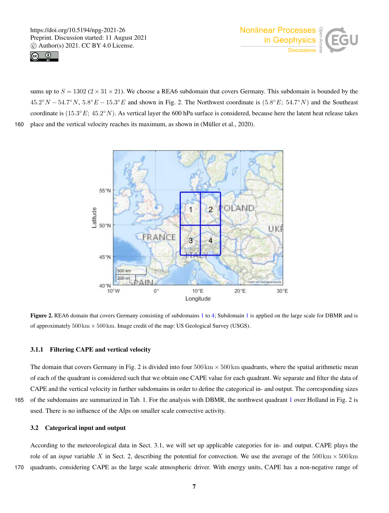



sums up to  $S = 1302 (2 \times 31 \times 21)$ . We choose a REA6 subdomain that covers Germany. This subdomain is bounded by the  $45.2^{\circ}N - 54.7^{\circ}N$ ,  $5.8^{\circ}E - 15.3^{\circ}E$  and shown in Fig. 2. The Northwest coordinate is  $(5.8^{\circ}E; 54.7^{\circ}N)$  and the Southeast coordinate is  $(15.3^{\circ}E; 45.2^{\circ}N)$ . As vertical layer the 600 hPa surface is considered, because here the latent heat release takes 160 place and the vertical velocity reaches its maximum, as shown in (Müller et al., 2020).



Figure 2. REA6 domain that covers Germany consisting of subdomains 1 to 4; Subdomain 1 is applied on the large scale for DBMR and is of approximately  $500 \text{ km} \times 500 \text{ km}$ . Image credit of the map: US Geological Survey (USGS).

# 3.1.1 Filtering CAPE and vertical velocity

The domain that covers Germany in Fig. 2 is divided into four  $500 \text{ km} \times 500 \text{ km}$  quadrants, where the spatial arithmetic mean of each of the quadrant is considered such that we obtain one CAPE value for each quadrant. We separate and filter the data of CAPE and the vertical velocity in further subdomains in order to define the categorical in- and output. The corresponding sizes 165 of the subdomains are summarized in Tab. 1. For the analysis with DBMR, the northwest quadrant 1 over Holland in Fig. 2 is used. There is no influence of the Alps on smaller scale convective activity.

# 3.2 Categorical input and output

According to the meteorological data in Sect. 3.1, we will set up applicable categories for in- and output. CAPE plays the role of an *input* variable X in Sect. 2, describing the potential for convection. We use the average of the  $500 \text{ km} \times 500 \text{ km}$ 170 quadrants, considering CAPE as the large scale atmospheric driver. With energy units, CAPE has a non-negative range of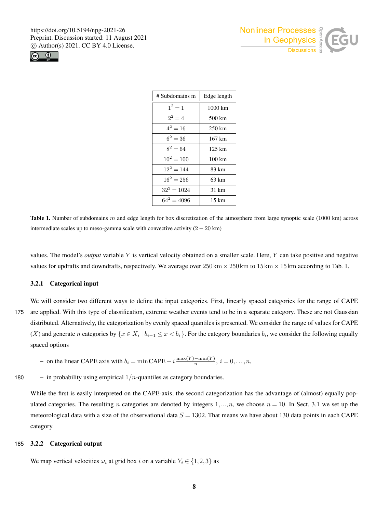



| # Subdomains m | Edge length      |
|----------------|------------------|
| $1^2 = 1$      | 1000 km          |
| $2^2 = 4$      | 500 km           |
| $4^2 = 16$     | $250 \text{ km}$ |
| $6^2 = 36$     | 167 km           |
| $8^2 = 64$     | $125 \text{ km}$ |
| $10^2 = 100$   | 100 km           |
| $12^2 = 144$   | 83 km            |
| $16^2 = 256$   | $63 \text{ km}$  |
| $32^2 = 1024$  | 31 km            |
| $64^2 = 4096$  | 15 km            |

**Table 1.** Number of subdomains m and edge length for box discretization of the atmosphere from large synoptic scale (1000 km) across intermediate scales up to meso-gamma scale with convective activity  $(2 - 20 \text{ km})$ 

values. The model's *output* variable Y is vertical velocity obtained on a smaller scale. Here, Y can take positive and negative values for updrafts and downdrafts, respectively. We average over  $250 \text{ km} \times 250 \text{ km}$  to  $15 \text{ km} \times 15 \text{ km}$  according to Tab. 1.

## 3.2.1 Categorical input

We will consider two different ways to define the input categories. First, linearly spaced categories for the range of CAPE 175 are applied. With this type of classification, extreme weather events tend to be in a separate category. These are not Gaussian distributed. Alternatively, the categorization by evenly spaced quantiles is presented. We consider the range of values for CAPE (X) and generate *n* categories by  $\{x \in X_i \mid b_{i-1} \leq x < b_i\}$ . For the category boundaries  $b_i$ , we consider the following equally spaced options

- on the linear CAPE axis with  $b_i = \min \text{CAPE} + i \frac{\max(Y) \min(Y)}{n}$ ,  $i = 0, ..., n$ ,
- 180 in probability using empirical  $1/n$ -quantiles as category boundaries.

While the first is easily interpreted on the CAPE-axis, the second categorization has the advantage of (almost) equally populated categories. The resulting n categories are denoted by integers  $1, ..., n$ , we choose  $n = 10$ . In Sect. 3.1 we set up the meteorological data with a size of the observational data  $S = 1302$ . That means we have about 130 data points in each CAPE category.

### 185 3.2.2 Categorical output

We map vertical velocities  $\omega_i$  at grid box i on a variable  $Y_i \in \{1,2,3\}$  as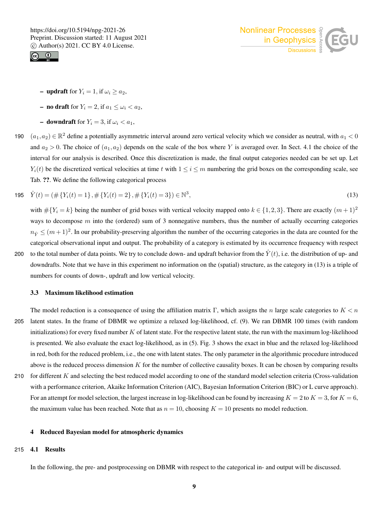



- updraft for  $Y_i = 1$ , if  $\omega_i \ge a_2$ ,
- no draft for  $Y_i = 2$ , if  $a_1 \leq \omega_i < a_2$ ,
- **downdraft** for  $Y_i = 3$ , if  $\omega_i < a_1$ ,
- 190  $(a_1, a_2) \in \mathbb{R}^2$  define a potentially asymmetric interval around zero vertical velocity which we consider as neutral, with  $a_1 < 0$ and  $a_2 > 0$ . The choice of  $(a_1, a_2)$  depends on the scale of the box where Y is averaged over. In Sect. 4.1 the choice of the interval for our analysis is described. Once this discretization is made, the final output categories needed can be set up. Let  $Y_i(t)$  be the discretized vertical velocities at time t with  $1 \le i \le m$  numbering the grid boxes on the corresponding scale, see Tab. ??. We define the following categorical process

195 
$$
\hat{Y}(t) = (\#\{Y_i(t) = 1\}, \#\{Y_i(t) = 2\}, \#\{Y_i(t) = 3\}) \in \mathbb{N}^3,
$$
 (13)

with  $\#\{Y_i = k\}$  being the number of grid boxes with vertical velocity mapped onto  $k \in \{1,2,3\}$ . There are exactly  $(m+1)^2$ ways to decompose  $m$  into the (ordered) sum of 3 nonnegative numbers, thus the number of actually occurring categories  $n_{\hat{Y}} \leq (m+1)^2$ . In our probability-preserving algorithm the number of the occurring categories in the data are counted for the categorical observational input and output. The probability of a category is estimated by its occurrence frequency with respect

200 to the total number of data points. We try to conclude down- and updraft behavior from the  $\hat{Y}(t)$ , i.e. the distribution of up- and downdrafts. Note that we have in this experiment no information on the (spatial) structure, as the category in (13) is a triple of numbers for counts of down-, updraft and low vertical velocity.

#### 3.3 Maximum likelihood estimation

- The model reduction is a consequence of using the affiliation matrix Γ, which assigns the n large scale categories to  $K < n$
- 205 latent states. In the frame of DBMR we optimize a relaxed log-likelihood, cf. (9). We ran DBMR 100 times (with random initializations) for every fixed number  $K$  of latent state. For the respective latent state, the run with the maximum log-likelihood is presented. We also evaluate the exact log-likelihood, as in (5). Fig. 3 shows the exact in blue and the relaxed log-likelihood in red, both for the reduced problem, i.e., the one with latent states. The only parameter in the algorithmic procedure introduced above is the reduced process dimension  $K$  for the number of collective causality boxes. It can be chosen by comparing results
- 210 for different  $K$  and selecting the best reduced model according to one of the standard model selection criteria (Cross-validation with a performance criterion, Akaike Information Criterion (AIC), Bayesian Information Criterion (BIC) or L curve approach). For an attempt for model selection, the largest increase in log-likelihood can be found by increasing  $K = 2$  to  $K = 3$ , for  $K = 6$ , the maximum value has been reached. Note that as  $n = 10$ , choosing  $K = 10$  presents no model reduction.

# 4 Reduced Bayesian model for atmospheric dynamics

# 215 4.1 Results

In the following, the pre- and postprocessing on DBMR with respect to the categorical in- and output will be discussed.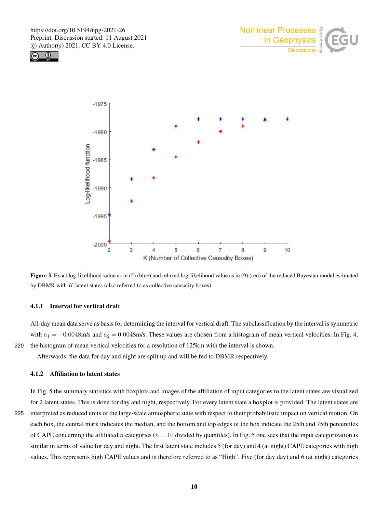





Figure 3. Exact log-likelihood value as in (5) (blue) and relaxed log-likelihood value as in (9) (red) of the reduced Bayesian model estimated by DBMR with  $K$  latent states (also referred to as collective causality boxes).

## 4.1.1 Interval for vertical draft

All-day mean data serve as basis for determining the interval for vertical draft. The subclassification by the interval is symmetric with  $a_1 = -0.0048$  m/s and  $a_2 = 0.0048$  m/s. These values are chosen from a histogram of mean vertical velocities. In Fig. 4, 220 the histogram of mean vertical velocities for a resolution of 125km with the interval is shown.

Afterwards, the data for day and night are split up and will be fed to DBMR respectively.

# 4.1.2 Affiliation to latent states

for 2 latent states. This is done for day and night, respectively. For every latent state a boxplot is provided. The latent states are 225 interpreted as reduced units of the large-scale atmospheric state with respect to their probabilistic impact on vertical motion. On each box, the central mark indicates the median, and the bottom and top edges of the box indicate the 25th and 75th percentiles of CAPE concerning the affiliated n categories ( $n = 10$  divided by quantiles). In Fig. 5 one sees that the input categorization is similar in terms of value for day and night. The first latent state includes 5 (for day) and 4 (at night) CAPE categories with high values. This represents high CAPE values and is therefore referred to as "High". Five (for day day) and 6 (at night) categories

In Fig. 5 the summary statistics with boxplots and images of the affiliation of input categories to the latent states are visualized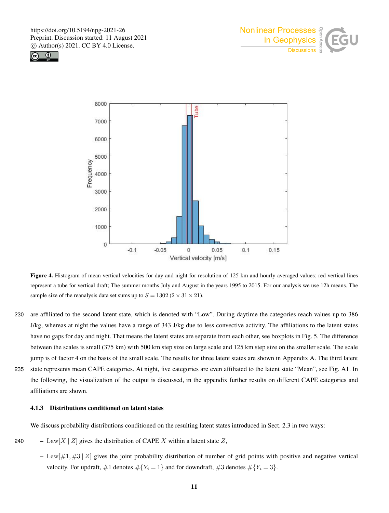





Figure 4. Histogram of mean vertical velocities for day and night for resolution of 125 km and hourly averaged values; red vertical lines represent a tube for vertical draft; The summer months July and August in the years 1995 to 2015. For our analysis we use 12h means. The sample size of the reanalysis data set sums up to  $S = 1302 (2 \times 31 \times 21)$ .

- 230 are affiliated to the second latent state, which is denoted with "Low". During daytime the categories reach values up to 386 J/kg, whereas at night the values have a range of 343 J/kg due to less convective activity. The affiliations to the latent states have no gaps for day and night. That means the latent states are separate from each other, see boxplots in Fig. 5. The difference between the scales is small (375 km) with 500 km step size on large scale and 125 km step size on the smaller scale. The scale jump is of factor 4 on the basis of the small scale. The results for three latent states are shown in Appendix A. The third latent 235 state represents mean CAPE categories. At night, five categories are even affiliated to the latent state "Mean", see Fig. A1. In
- the following, the visualization of the output is discussed, in the appendix further results on different CAPE categories and affiliations are shown.

# 4.1.3 Distributions conditioned on latent states

We discuss probability distributions conditioned on the resulting latent states introduced in Sect. 2.3 in two ways:

- 240 Law  $[X \mid Z]$  gives the distribution of CAPE X within a latent state Z,
	- Law $[\#1, \#3 \mid Z]$  gives the joint probability distribution of number of grid points with positive and negative vertical velocity. For updraft,  $\#1$  denotes  $\# \{ Y_i = 1 \}$  and for downdraft,  $\#3$  denotes  $\# \{ Y_i = 3 \}$ .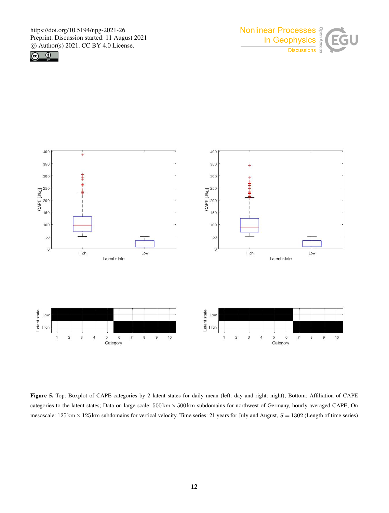





Figure 5. Top: Boxplot of CAPE categories by 2 latent states for daily mean (left: day and right: night); Bottom: Affiliation of CAPE categories to the latent states; Data on large scale: 500 km × 500 km subdomains for northwest of Germany, hourly averaged CAPE; On mesoscale:  $125 \text{ km} \times 125 \text{ km}$  subdomains for vertical velocity. Time series: 21 years for July and August,  $S = 1302$  (Length of time series)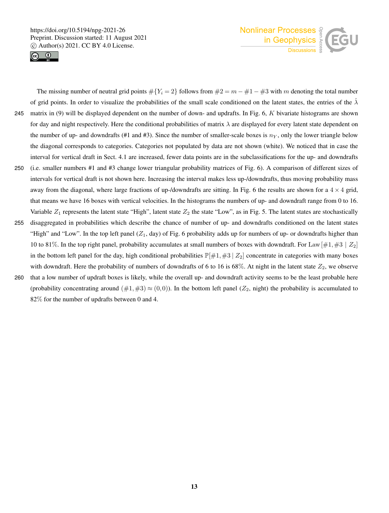



The missing number of neutral grid points  $\#\{Y_i = 2\}$  follows from  $\#2 = m - \#1 - \#3$  with m denoting the total number of grid points. In order to visualize the probabilities of the small scale conditioned on the latent states, the entries of the  $\lambda$ 245 matrix in (9) will be displayed dependent on the number of down- and updrafts. In Fig. 6, K bivariate histograms are shown for day and night respectively. Here the conditional probabilities of matrix  $\lambda$  are displayed for every latent state dependent on the number of up- and downdrafts (#1 and #3). Since the number of smaller-scale boxes is  $n_y$ , only the lower triangle below the diagonal corresponds to categories. Categories not populated by data are not shown (white). We noticed that in case the interval for vertical draft in Sect. 4.1 are increased, fewer data points are in the subclassifications for the up- and downdrafts 250 (i.e. smaller numbers #1 and #3 change lower triangular probability matrices of Fig. 6). A comparison of different sizes of intervals for vertical draft is not shown here. Increasing the interval makes less up-/downdrafts, thus moving probability mass away from the diagonal, where large fractions of up-/downdrafts are sitting. In Fig. 6 the results are shown for a  $4 \times 4$  grid, that means we have 16 boxes with vertical velocities. In the histograms the numbers of up- and downdraft range from 0 to 16. Variable  $Z_1$  represents the latent state "High", latent state  $Z_2$  the state "Low", as in Fig. 5. The latent states are stochastically 255 disaggregated in probabilities which describe the chance of number of up- and downdrafts conditioned on the latent states "High" and "Low". In the top left panel  $(Z_1, day)$  of Fig. 6 probability adds up for numbers of up- or downdrafts higher than 10 to 81%. In the top right panel, probability accumulates at small numbers of boxes with downdraft. For Law  $[\#1, \#3 \mid Z_2]$ in the bottom left panel for the day, high conditional probabilities  $\mathbb{P}[\#1, \#3 \mid Z_2]$  concentrate in categories with many boxes with downdraft. Here the probability of numbers of downdrafts of 6 to 16 is 68%. At night in the latent state  $Z_2$ , we observe 260 that a low number of updraft boxes is likely, while the overall up- and downdraft activity seems to be the least probable here (probability concentrating around  $(\#1,\#3) \approx (0,0)$ ). In the bottom left panel  $(Z_2, \text{night})$  the probability is accumulated to

82% for the number of updrafts between 0 and 4.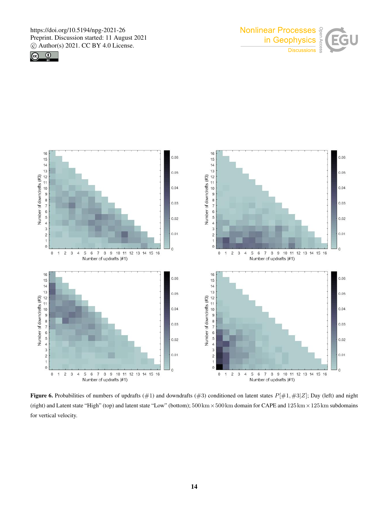





Figure 6. Probabilities of numbers of updrafts (#1) and downdrafts (#3) conditioned on latent states  $P[#1, #3|Z]$ ; Day (left) and night (right) and Latent state "High" (top) and latent state "Low" (bottom);  $500 \text{ km} \times 500 \text{ km}$  domain for CAPE and  $125 \text{ km} \times 125 \text{ km}$  subdomains for vertical velocity.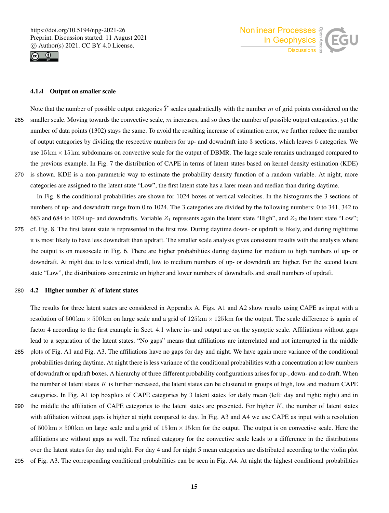



## 4.1.4 Output on smaller scale

Note that the number of possible output categories  $\hat{Y}$  scales quadratically with the number m of grid points considered on the 265 smaller scale. Moving towards the convective scale,  $m$  increases, and so does the number of possible output categories, yet the number of data points (1302) stays the same. To avoid the resulting increase of estimation error, we further reduce the number of output categories by dividing the respective numbers for up- and downdraft into 3 sections, which leaves 6 categories. We use  $15 \text{ km} \times 15 \text{ km}$  subdomains on convective scale for the output of DBMR. The large scale remains unchanged compared to the previous example. In Fig. 7 the distribution of CAPE in terms of latent states based on kernel density estimation (KDE) 270 is shown. KDE is a non-parametric way to estimate the probability density function of a random variable. At night, more categories are assigned to the latent state "Low", the first latent state has a larer mean and median than during daytime.

In Fig. 8 the conditional probabilities are shown for 1024 boxes of vertical velocities. In the histograms the 3 sections of numbers of up- and downdraft range from 0 to 1024. The 3 categories are divided by the following numbers: 0 to 341, 342 to 683 and 684 to 1024 up- and downdrafts. Variable  $Z_1$  represents again the latent state "High", and  $Z_2$  the latent state "Low";

275 cf. Fig. 8. The first latent state is represented in the first row. During daytime down- or updraft is likely, and during nighttime it is most likely to have less downdraft than updraft. The smaller scale analysis gives consistent results with the analysis where the output is on mesoscale in Fig. 6. There are higher probabilities during daytime for medium to high numbers of up- or downdraft. At night due to less vertical draft, low to medium numbers of up- or downdraft are higher. For the second latent state "Low", the distributions concentrate on higher and lower numbers of downdrafts and small numbers of updraft.

#### 280  $\,$  4.2 Higher number K of latent states

The results for three latent states are considered in Appendix A. Figs. A1 and A2 show results using CAPE as input with a resolution of  $500 \text{ km} \times 500 \text{ km}$  on large scale and a grid of  $125 \text{ km} \times 125 \text{ km}$  for the output. The scale difference is again of factor 4 according to the first example in Sect. 4.1 where in- and output are on the synoptic scale. Affiliations without gaps lead to a separation of the latent states. "No gaps" means that affiliations are interrelated and not interrupted in the middle 285 plots of Fig. A1 and Fig. A3. The affiliations have no gaps for day and night. We have again more variance of the conditional probabilities during daytime. At night there is less variance of the conditional probabilities with a concentration at low numbers of downdraft or updraft boxes. A hierarchy of three different probability configurations arises for up-, down- and no draft. When the number of latent states  $K$  is further increased, the latent states can be clustered in groups of high, low and medium CAPE categories. In Fig. A1 top boxplots of CAPE categories by 3 latent states for daily mean (left: day and right: night) and in

- 290 the middle the affiliation of CAPE categories to the latent states are presented. For higher  $K$ , the number of latent states with affiliation without gaps is higher at night compared to day. In Fig. A3 and A4 we use CAPE as input with a resolution of  $500 \text{km} \times 500 \text{km}$  on large scale and a grid of  $15 \text{km} \times 15 \text{km}$  for the output. The output is on convective scale. Here the affiliations are without gaps as well. The refined category for the convective scale leads to a difference in the distributions over the latent states for day and night. For day 4 and for night 5 mean categories are distributed according to the violin plot
- 295 of Fig. A3. The corresponding conditional probabilities can be seen in Fig. A4. At night the highest conditional probabilities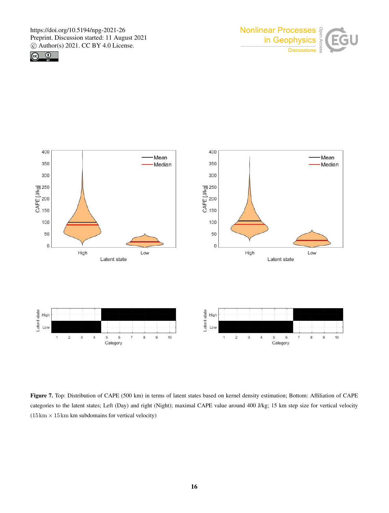





Figure 7. Top: Distribution of CAPE (500 km) in terms of latent states based on kernel density estimation; Bottom: Affiliation of CAPE categories to the latent states; Left (Day) and right (Night); maximal CAPE value around 400 J/kg; 15 km step size for vertical velocity  $(15 \text{ km} \times 15 \text{ km} \text{ km} \text{ subdomains}$  for vertical velocity)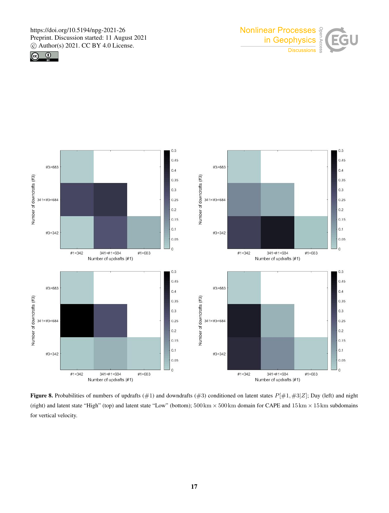





Figure 8. Probabilities of numbers of updrafts (#1) and downdrafts (#3) conditioned on latent states  $P[#1, #3|Z]$ ; Day (left) and night (right) and latent state "High" (top) and latent state "Low" (bottom);  $500 \text{ km} \times 500 \text{ km}$  domain for CAPE and  $15 \text{ km} \times 15 \text{ km}$  subdomains for vertical velocity.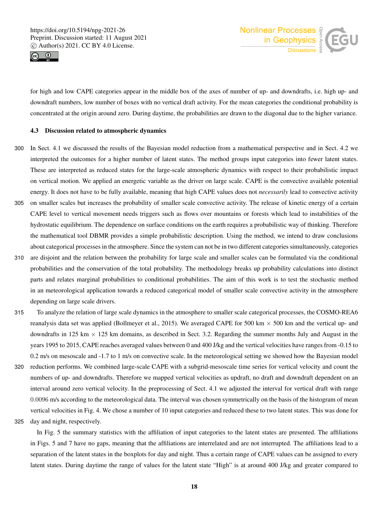



for high and low CAPE categories appear in the middle box of the axes of number of up- and downdrafts, i.e. high up- and downdraft numbers, low number of boxes with no vertical draft activity. For the mean categories the conditional probability is concentrated at the origin around zero. During daytime, the probabilities are drawn to the diagonal due to the higher variance.

## 4.3 Discussion related to atmospheric dynamics

- 300 In Sect. 4.1 we discussed the results of the Bayesian model reduction from a mathematical perspective and in Sect. 4.2 we interpreted the outcomes for a higher number of latent states. The method groups input categories into fewer latent states. These are interpreted as reduced states for the large-scale atmospheric dynamics with respect to their probabilistic impact on vertical motion. We applied an energetic variable as the driver on large scale. CAPE is the convective available potential energy. It does not have to be fully available, meaning that high CAPE values does not *necessarily* lead to convective activity
- 305 on smaller scales but increases the probability of smaller scale convective activity. The release of kinetic energy of a certain CAPE level to vertical movement needs triggers such as flows over mountains or forests which lead to instabilities of the hydrostatic equilibrium. The dependence on surface conditions on the earth requires a probabilistic way of thinking. Therefore the mathematical tool DBMR provides a simple probabilistic description. Using the method, we intend to draw conclusions about categorical processes in the atmosphere. Since the system can not be in two different categories simultaneously, categories
- 310 are disjoint and the relation between the probability for large scale and smaller scales can be formulated via the conditional probabilities and the conservation of the total probability. The methodology breaks up probability calculations into distinct parts and relates marginal probabilities to conditional probabilities. The aim of this work is to test the stochastic method in an meteorological application towards a reduced categorical model of smaller scale convective activity in the atmosphere depending on large scale drivers.
- 315 To analyze the relation of large scale dynamics in the atmosphere to smaller scale categorical processes, the COSMO-REA6 reanalysis data set was applied (Bollmeyer et al., 2015). We averaged CAPE for 500 km  $\times$  500 km and the vertical up- and downdrafts in 125 km  $\times$  125 km domains, as described in Sect. 3.2. Regarding the summer months July and August in the years 1995 to 2015, CAPE reaches averaged values between 0 and 400 J/kg and the vertical velocities have ranges from -0.15 to 0.2 m/s on mesoscale and -1.7 to 1 m/s on convective scale. In the meteorological setting we showed how the Bayesian model
- 320 reduction performs. We combined large-scale CAPE with a subgrid-mesoscale time series for vertical velocity and count the numbers of up- and downdrafts. Therefore we mapped vertical velocities as updraft, no draft and downdraft dependent on an interval around zero vertical velocity. In the preprocessing of Sect. 4.1 we adjusted the interval for vertical draft with range 0.0096 m/s according to the meteorological data. The interval was chosen symmetrically on the basis of the histogram of mean vertical velocities in Fig. 4. We chose a number of 10 input categories and reduced these to two latent states. This was done for

325 day and night, respectively.

In Fig. 5 the summary statistics with the affiliation of input categories to the latent states are presented. The affiliations in Figs. 5 and 7 have no gaps, meaning that the affiliations are interrelated and are not interrupted. The affiliations lead to a separation of the latent states in the boxplots for day and night. Thus a certain range of CAPE values can be assigned to every latent states. During daytime the range of values for the latent state "High" is at around 400 J/kg and greater compared to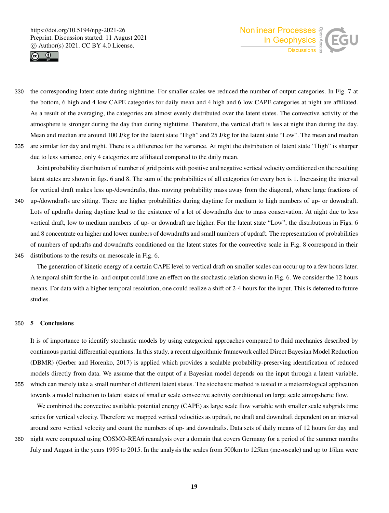



330 the corresponding latent state during nighttime. For smaller scales we reduced the number of output categories. In Fig. 7 at the bottom, 6 high and 4 low CAPE categories for daily mean and 4 high and 6 low CAPE categories at night are affiliated. As a result of the averaging, the categories are almost evenly distributed over the latent states. The convective activity of the atmosphere is stronger during the day than during nighttime. Therefore, the vertical draft is less at night than during the day. Mean and median are around 100 J/kg for the latent state "High" and 25 J/kg for the latent state "Low". The mean and median 335 are similar for day and night. There is a difference for the variance. At night the distribution of latent state "High" is sharper

due to less variance, only 4 categories are affiliated compared to the daily mean.

Joint probability distribution of number of grid points with positive and negative vertical velocity conditioned on the resulting latent states are shown in figs. 6 and 8. The sum of the probabilities of all categories for every box is 1. Increasing the interval for vertical draft makes less up-/downdrafts, thus moving probability mass away from the diagonal, where large fractions of

- 340 up-/downdrafts are sitting. There are higher probabilities during daytime for medium to high numbers of up- or downdraft. Lots of updrafts during daytime lead to the existence of a lot of downdrafts due to mass conservation. At night due to less vertical draft, low to medium numbers of up- or downdraft are higher. For the latent state "Low", the distributions in Figs. 6 and 8 concentrate on higher and lower numbers of downdrafts and small numbers of updraft. The representation of probabilities of numbers of updrafts and downdrafts conditioned on the latent states for the convective scale in Fig. 8 correspond in their
- 345 distributions to the results on mesoscale in Fig. 6.

The generation of kinetic energy of a certain CAPE level to vertical draft on smaller scales can occur up to a few hours later. A temporal shift for the in- and output could have an effect on the stochastic relation shown in Fig. 6. We consider the 12 hours means. For data with a higher temporal resolution, one could realize a shift of 2-4 hours for the input. This is deferred to future studies.

## 350 5 Conclusions

It is of importance to identify stochastic models by using categorical approaches compared to fluid mechanics described by continuous partial differential equations. In this study, a recent algorithmic framework called Direct Bayesian Model Reduction (DBMR) (Gerber and Horenko, 2017) is applied which provides a scalable probability-preserving identification of reduced models directly from data. We assume that the output of a Bayesian model depends on the input through a latent variable, 355 which can merely take a small number of different latent states. The stochastic method is tested in a meteorological application

towards a model reduction to latent states of smaller scale convective activity conditioned on large scale atmopsheric flow.

We combined the convective available potential energy (CAPE) as large scale flow variable with smaller scale subgrids time series for vertical velocity. Therefore we mapped vertical velocities as updraft, no draft and downdraft dependent on an interval around zero vertical velocity and count the numbers of up- and downdrafts. Data sets of daily means of 12 hours for day and 360 night were computed using COSMO-REA6 reanalysis over a domain that covers Germany for a period of the summer months

July and August in the years 1995 to 2015. In the analysis the scales from 500km to 125km (mesoscale) and up to 15km were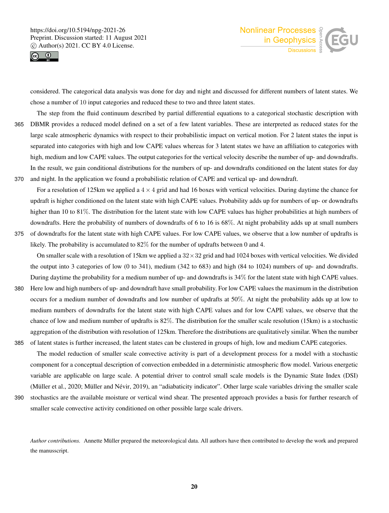



considered. The categorical data analysis was done for day and night and discussed for different numbers of latent states. We chose a number of 10 input categories and reduced these to two and three latent states.

The step from the fluid continuum described by partial differential equations to a categorical stochastic description with 365 DBMR provides a reduced model defined on a set of a few latent variables. These are interpreted as reduced states for the large scale atmospheric dynamics with respect to their probabilistic impact on vertical motion. For 2 latent states the input is separated into categories with high and low CAPE values whereas for 3 latent states we have an affiliation to categories with high, medium and low CAPE values. The output categories for the vertical velocity describe the number of up- and downdrafts. In the result, we gain conditional distributions for the numbers of up- and downdrafts conditioned on the latent states for day 370 and night. In the application we found a probabilistic relation of CAPE and vertical up- and downdraft.

For a resolution of 125km we applied a  $4 \times 4$  grid and had 16 boxes with vertical velocities. During daytime the chance for updraft is higher conditioned on the latent state with high CAPE values. Probability adds up for numbers of up- or downdrafts higher than 10 to 81%. The distribution for the latent state with low CAPE values has higher probabilities at high numbers of downdrafts. Here the probability of numbers of downdrafts of 6 to 16 is 68%. At night probability adds up at small numbers 375 of downdrafts for the latent state with high CAPE values. For low CAPE values, we observe that a low number of updrafts is likely. The probability is accumulated to 82% for the number of updrafts between 0 and 4.

On smaller scale with a resolution of 15km we applied a  $32 \times 32$  grid and had 1024 boxes with vertical velocities. We divided the output into 3 categories of low (0 to 341), medium (342 to 683) and high (84 to 1024) numbers of up- and downdrafts. During daytime the probability for a medium number of up- and downdrafts is 34% for the latent state with high CAPE values.

- 380 Here low and high numbers of up- and downdraft have small probability. For low CAPE values the maximum in the distribution occurs for a medium number of downdrafts and low number of updrafts at 50%. At night the probability adds up at low to medium numbers of downdrafts for the latent state with high CAPE values and for low CAPE values, we observe that the chance of low and medium number of updrafts is 82%. The distribution for the smaller scale resolution (15km) is a stochastic aggregation of the distribution with resolution of 125km. Therefore the distributions are qualitatively similar. When the number 385 of latent states is further increased, the latent states can be clustered in groups of high, low and medium CAPE categories.
- 

The model reduction of smaller scale convective activity is part of a development process for a model with a stochastic component for a conceptual description of convection embedded in a deterministic atmospheric flow model. Various energetic variable are applicable on large scale. A potential driver to control small scale models is the Dynamic State Index (DSI) (Müller et al., 2020; Müller and Névir, 2019), an "adiabaticity indicator". Other large scale variables driving the smaller scale

390 stochastics are the available moisture or vertical wind shear. The presented approach provides a basis for further research of smaller scale convective activity conditioned on other possible large scale drivers.

*Author contributions.* Annette Müller prepared the meteorological data. All authors have then contributed to develop the work and prepared the manusscript.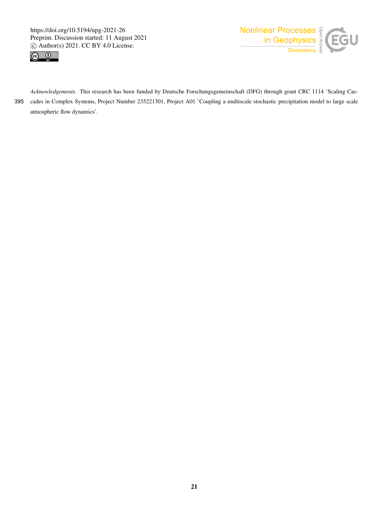



*Acknowledgements.* This research has been funded by Deutsche Forschungsgemeinschaft (DFG) through grant CRC 1114 'Scaling Cas-395 cades in Complex Systems, Project Number 235221301, Project A01 'Coupling a multiscale stochastic precipitation model to large scale atmospheric flow dynamics'.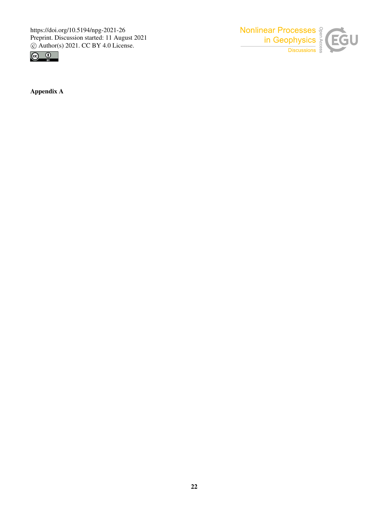



Appendix A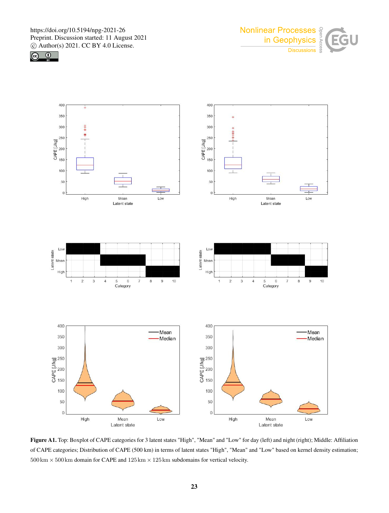





Figure A1. Top: Boxplot of CAPE categories for 3 latent states "High", "Mean" and "Low" for day (left) and night (right); Middle: Affiliation of CAPE categories; Distribution of CAPE (500 km) in terms of latent states "High", "Mean" and "Low" based on kernel density estimation;  $500 \text{ km} \times 500 \text{ km}$  domain for CAPE and  $125 \text{ km} \times 125 \text{ km}$  subdomains for vertical velocity.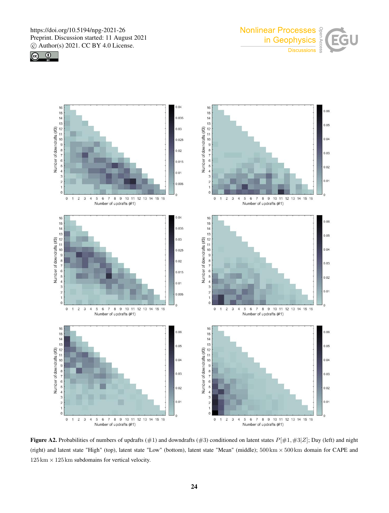





**Figure A2.** Probabilities of numbers of updrafts (#1) and downdrafts (#3) conditioned on latent states  $P[\#1, \#3|Z]$ ; Day (left) and night (right) and latent state "High" (top), latent state "Low" (bottom), latent state "Mean" (middle);  $500 \text{ km} \times 500 \text{ km}$  domain for CAPE and  $125 \text{ km} \times 125 \text{ km}$  subdomains for vertical velocity.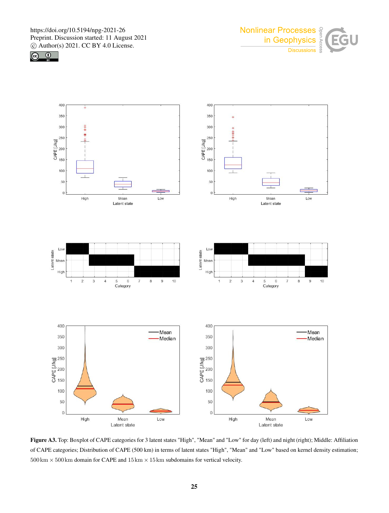





Figure A3. Top: Boxplot of CAPE categories for 3 latent states "High", "Mean" and "Low" for day (left) and night (right); Middle: Affiliation of CAPE categories; Distribution of CAPE (500 km) in terms of latent states "High", "Mean" and "Low" based on kernel density estimation;  $500 \text{ km} \times 500 \text{ km}$  domain for CAPE and  $15 \text{ km} \times 15 \text{ km}$  subdomains for vertical velocity.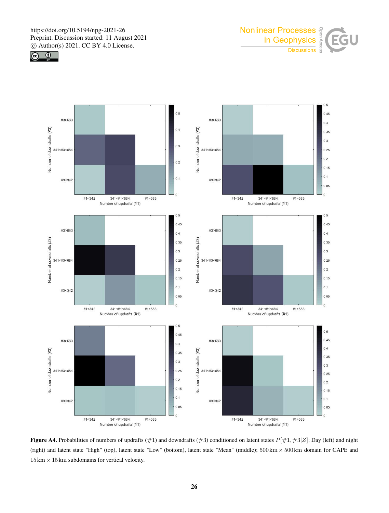







Figure A4. Probabilities of numbers of updrafts (#1) and downdrafts (#3) conditioned on latent states  $P[#1, #3|Z]$ ; Day (left) and night (right) and latent state "High" (top), latent state "Low" (bottom), latent state "Mean" (middle);  $500 \text{ km} \times 500 \text{ km}$  domain for CAPE and  $15 \text{ km} \times 15 \text{ km}$  subdomains for vertical velocity.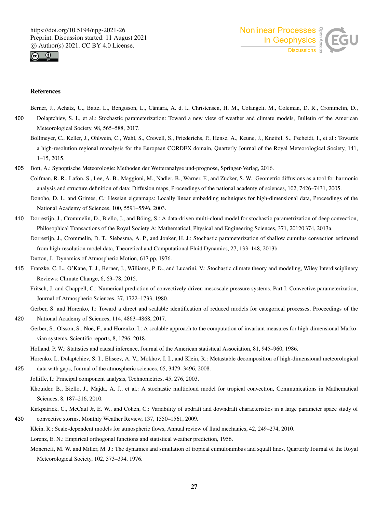



### References

Berner, J., Achatz, U., Batte, L., Bengtsson, L., Cámara, A. d. l., Christensen, H. M., Colangeli, M., Coleman, D. R., Crommelin, D.,

- 400 Dolaptchiev, S. I., et al.: Stochastic parameterization: Toward a new view of weather and climate models, Bulletin of the American Meteorological Society, 98, 565–588, 2017.
	- Bollmeyer, C., Keller, J., Ohlwein, C., Wahl, S., Crewell, S., Friederichs, P., Hense, A., Keune, J., Kneifel, S., Pscheidt, I., et al.: Towards a high-resolution regional reanalysis for the European CORDEX domain, Quarterly Journal of the Royal Meteorological Society, 141, 1–15, 2015.
- 405 Bott, A.: Synoptische Meteorologie: Methoden der Wetteranalyse und-prognose, Springer-Verlag, 2016.
	- Coifman, R. R., Lafon, S., Lee, A. B., Maggioni, M., Nadler, B., Warner, F., and Zucker, S. W.: Geometric diffusions as a tool for harmonic analysis and structure definition of data: Diffusion maps, Proceedings of the national academy of sciences, 102, 7426–7431, 2005.

Donoho, D. L. and Grimes, C.: Hessian eigenmaps: Locally linear embedding techniques for high-dimensional data, Proceedings of the National Academy of Sciences, 100, 5591–5596, 2003.

410 Dorrestijn, J., Crommelin, D., Biello, J., and Böing, S.: A data-driven multi-cloud model for stochastic parametrization of deep convection, Philosophical Transactions of the Royal Society A: Mathematical, Physical and Engineering Sciences, 371, 20120 374, 2013a.

Dorrestijn, J., Crommelin, D. T., Siebesma, A. P., and Jonker, H. J.: Stochastic parameterization of shallow cumulus convection estimated from high-resolution model data, Theoretical and Computational Fluid Dynamics, 27, 133–148, 2013b.

Dutton, J.: Dynamics of Atmospheric Motion, 617 pp, 1976.

415 Franzke, C. L., O'Kane, T. J., Berner, J., Williams, P. D., and Lucarini, V.: Stochastic climate theory and modeling, Wiley Interdisciplinary Reviews: Climate Change, 6, 63–78, 2015.

Fritsch, J. and Chappell, C.: Numerical prediction of convectively driven mesoscale pressure systems. Part I: Convective parameterization, Journal of Atmospheric Sciences, 37, 1722–1733, 1980.

- Gerber, S. and Horenko, I.: Toward a direct and scalable identification of reduced models for categorical processes, Proceedings of the 420 National Academy of Sciences, 114, 4863–4868, 2017.
- Gerber, S., Olsson, S., Noé, F., and Horenko, I.: A scalable approach to the computation of invariant measures for high-dimensional Markovian systems, Scientific reports, 8, 1796, 2018.

Holland, P. W.: Statistics and causal inference, Journal of the American statistical Association, 81, 945–960, 1986.

Horenko, I., Dolaptchiev, S. I., Eliseev, A. V., Mokhov, I. I., and Klein, R.: Metastable decomposition of high-dimensional meteorological

- 425 data with gaps, Journal of the atmospheric sciences, 65, 3479–3496, 2008.
	- Jolliffe, I.: Principal component analysis, Technometrics, 45, 276, 2003.
		- Khouider, B., Biello, J., Majda, A. J., et al.: A stochastic multicloud model for tropical convection, Communications in Mathematical Sciences, 8, 187–216, 2010.
- Kirkpatrick, C., McCaul Jr, E. W., and Cohen, C.: Variability of updraft and downdraft characteristics in a large parameter space study of 430 convective storms, Monthly Weather Review, 137, 1550–1561, 2009.
	- Klein, R.: Scale-dependent models for atmospheric flows, Annual review of fluid mechanics, 42, 249–274, 2010.

Lorenz, E. N.: Empirical orthogonal functions and statistical weather prediction, 1956.

Moncrieff, M. W. and Miller, M. J.: The dynamics and simulation of tropical cumulonimbus and squall lines, Quarterly Journal of the Royal Meteorological Society, 102, 373–394, 1976.